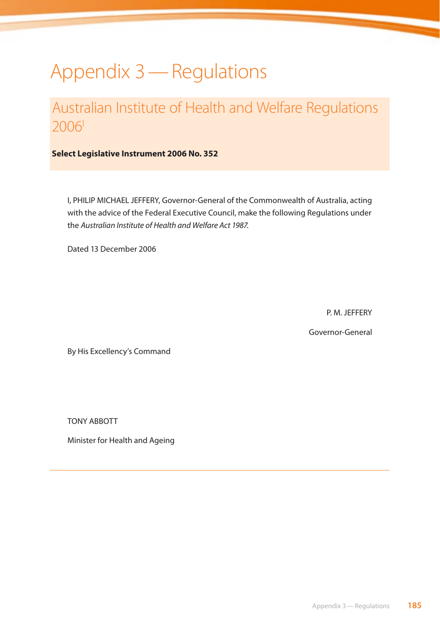# Appendix 3—Regulations

## Australian Institute of Health and Welfare Regulations 20061

**Select Legislative Instrument 2006 No. 352** 

I, PHILIP MICHAEL JEFFERY, Governor-General of the Commonwealth of Australia, acting with the advice of the Federal Executive Council, make the following Regulations under the *Australian Institute of Health and Welfare Act 1987*.

Dated 13 December 2006

P. M. JEFFERY

Governor-General

By His Excellency's Command

TONY ABBOTT

Minister for Health and Ageing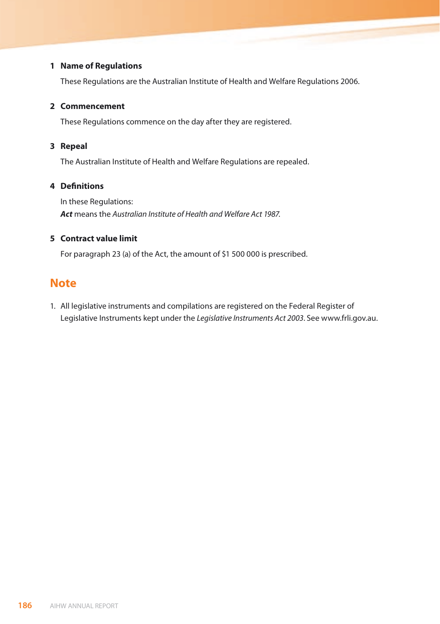### **1 Name of Regulations**

These Regulations are the Australian Institute of Health and Welfare Regulations 2006.

#### **2 Commencement**

These Regulations commence on the day after they are registered.

#### **3 Repeal**

The Australian Institute of Health and Welfare Regulations are repealed.

### **4 Definitions**

 In these Regulations: *Act* means the *Australian Institute of Health and Welfare Act 1987*.

### **5 Contract value limit**

For paragraph 23 (a) of the Act, the amount of \$1 500 000 is prescribed.

### **Note**

1. All legislative instruments and compilations are registered on the Federal Register of Legislative Instruments kept under the *Legislative Instruments Act 2003*. See www.frli.gov.au.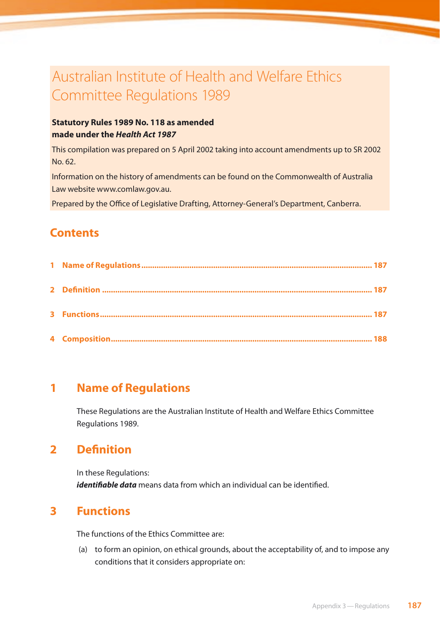## Australian Institute of Health and Welfare Ethics Committee Regulations 1989

### **Statutory Rules 1989 No. 118 as amended made under the** *Health Act 1987*

This compilation was prepared on 5 April 2002 taking into account amendments up to SR 2002 No. 62.

Information on the history of amendments can be found on the Commonwealth of Australia Law website www.comlaw.gov.au.

Prepared by the Office of Legislative Drafting, Attorney-General's Department, Canberra.

## **Contents**

## **1 Name of Regulations**

These Regulations are the Australian Institute of Health and Welfare Ethics Committee Regulations 1989.

## **2 Definition**

In these Regulations: *identifiable data* means data from which an individual can be identified.

## **3 Functions**

The functions of the Ethics Committee are:

(a) to form an opinion, on ethical grounds, about the acceptability of, and to impose any conditions that it considers appropriate on: